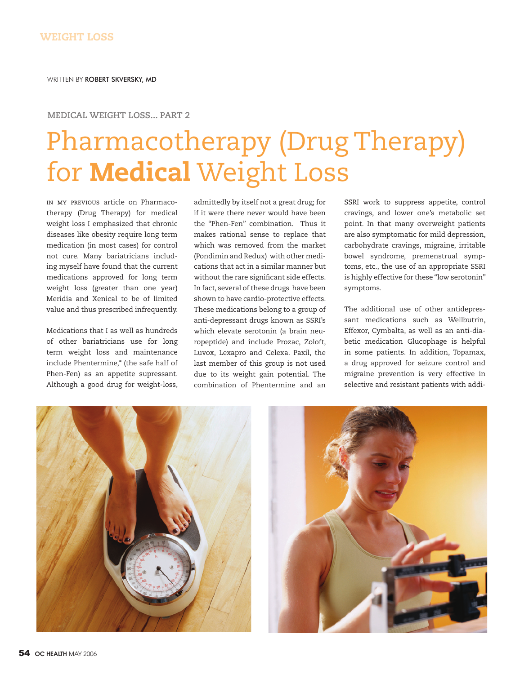## **MEDICAL WEIGHT LOSS... PART 2**

## Pharmacotherapy (Drug Therapy) for Medical Weight Loss

in my previous article on Pharmacotherapy (Drug Therapy) for medical weight loss I emphasized that chronic diseases like obesity require long term medication (in most cases) for control not cure. Many bariatricians including myself have found that the current medications approved for long term weight loss (greater than one year) Meridia and Xenical to be of limited value and thus prescribed infrequently.

Medications that I as well as hundreds of other bariatricians use for long term weight loss and maintenance include Phentermine,\* (the safe half of Phen-Fen) as an appetite supressant. Although a good drug for weight-loss,

admittedly by itself not a great drug; for if it were there never would have been the "Phen-Fen" combination. Thus it makes rational sense to replace that which was removed from the market (Pondimin and Redux) with other medications that act in a similar manner but without the rare significant side effects. In fact, several of these drugs have been shown to have cardio-protective effects. These medications belong to a group of anti-depressant drugs known as SSRI's which elevate serotonin (a brain neuropeptide) and include Prozac, Zoloft, Luvox, Lexapro and Celexa. Paxil, the last member of this group is not used due to its weight gain potential. The combination of Phentermine and an

SSRI work to suppress appetite, control cravings, and lower one's metabolic set point. In that many overweight patients are also symptomatic for mild depression, carbohydrate cravings, migraine, irritable bowel syndrome, premenstrual symptoms, etc., the use of an appropriate SSRI is highly effective for these "low serotonin" symptoms.

The additional use of other antidepressant medications such as Wellbutrin, Effexor, Cymbalta, as well as an anti-diabetic medication Glucophage is helpful in some patients. In addition, Topamax, a drug approved for seizure control and migraine prevention is very effective in selective and resistant patients with addi-